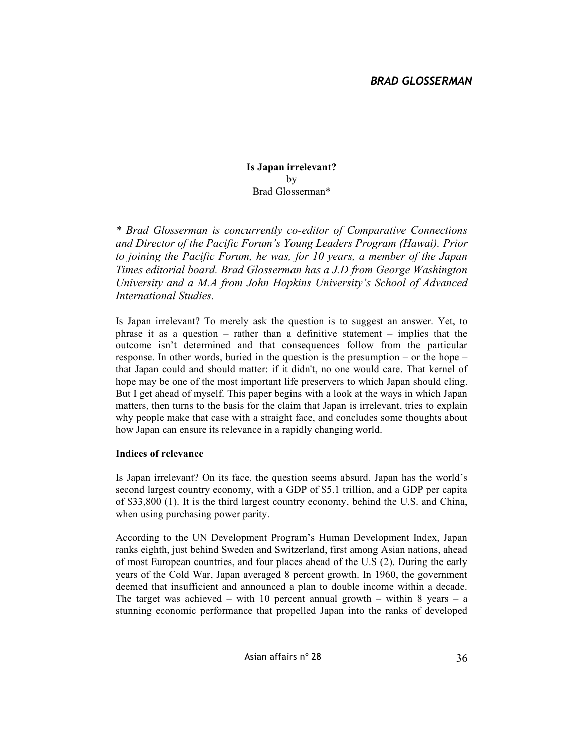**Is Japan irrelevant?** by Brad Glosserman\*

*\* Brad Glosserman is concurrently co-editor of Comparative Connections and Director of the Pacific Forum's Young Leaders Program (Hawai). Prior to joining the Pacific Forum, he was, for 10 years, a member of the Japan Times editorial board. Brad Glosserman has a J.D from George Washington University and a M.A from John Hopkins University's School of Advanced International Studies.*

Is Japan irrelevant? To merely ask the question is to suggest an answer. Yet, to phrase it as a question – rather than a definitive statement – implies that the outcome isn't determined and that consequences follow from the particular response. In other words, buried in the question is the presumption – or the hope – that Japan could and should matter: if it didn't, no one would care. That kernel of hope may be one of the most important life preservers to which Japan should cling. But I get ahead of myself. This paper begins with a look at the ways in which Japan matters, then turns to the basis for the claim that Japan is irrelevant, tries to explain why people make that case with a straight face, and concludes some thoughts about how Japan can ensure its relevance in a rapidly changing world.

#### **Indices of relevance**

Is Japan irrelevant? On its face, the question seems absurd. Japan has the world's second largest country economy, with a GDP of \$5.1 trillion, and a GDP per capita of \$33,800 (1). It is the third largest country economy, behind the U.S. and China, when using purchasing power parity.

According to the UN Development Program's Human Development Index, Japan ranks eighth, just behind Sweden and Switzerland, first among Asian nations, ahead of most European countries, and four places ahead of the U.S (2). During the early years of the Cold War, Japan averaged 8 percent growth. In 1960, the government deemed that insufficient and announced a plan to double income within a decade. The target was achieved – with 10 percent annual growth – within 8 years – a stunning economic performance that propelled Japan into the ranks of developed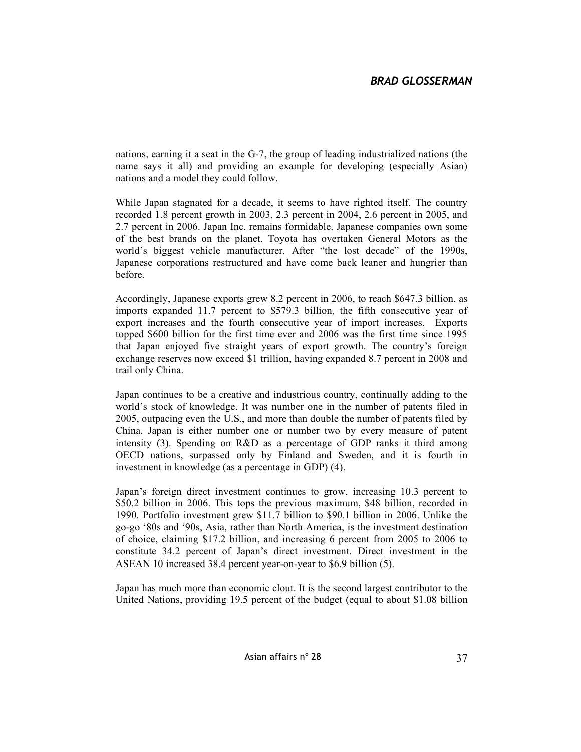nations, earning it a seat in the G-7, the group of leading industrialized nations (the name says it all) and providing an example for developing (especially Asian) nations and a model they could follow.

While Japan stagnated for a decade, it seems to have righted itself. The country recorded 1.8 percent growth in 2003, 2.3 percent in 2004, 2.6 percent in 2005, and 2.7 percent in 2006. Japan Inc. remains formidable. Japanese companies own some of the best brands on the planet. Toyota has overtaken General Motors as the world's biggest vehicle manufacturer. After "the lost decade" of the 1990s, Japanese corporations restructured and have come back leaner and hungrier than before.

Accordingly, Japanese exports grew 8.2 percent in 2006, to reach \$647.3 billion, as imports expanded 11.7 percent to \$579.3 billion, the fifth consecutive year of export increases and the fourth consecutive year of import increases. Exports topped \$600 billion for the first time ever and 2006 was the first time since 1995 that Japan enjoyed five straight years of export growth. The country's foreign exchange reserves now exceed \$1 trillion, having expanded 8.7 percent in 2008 and trail only China.

Japan continues to be a creative and industrious country, continually adding to the world's stock of knowledge. It was number one in the number of patents filed in 2005, outpacing even the U.S., and more than double the number of patents filed by China. Japan is either number one or number two by every measure of patent intensity (3). Spending on R&D as a percentage of GDP ranks it third among OECD nations, surpassed only by Finland and Sweden, and it is fourth in investment in knowledge (as a percentage in GDP) (4).

Japan's foreign direct investment continues to grow, increasing 10.3 percent to \$50.2 billion in 2006. This tops the previous maximum, \$48 billion, recorded in 1990. Portfolio investment grew \$11.7 billion to \$90.1 billion in 2006. Unlike the go-go '80s and '90s, Asia, rather than North America, is the investment destination of choice, claiming \$17.2 billion, and increasing 6 percent from 2005 to 2006 to constitute 34.2 percent of Japan's direct investment. Direct investment in the ASEAN 10 increased 38.4 percent year-on-year to \$6.9 billion (5).

Japan has much more than economic clout. It is the second largest contributor to the United Nations, providing 19.5 percent of the budget (equal to about \$1.08 billion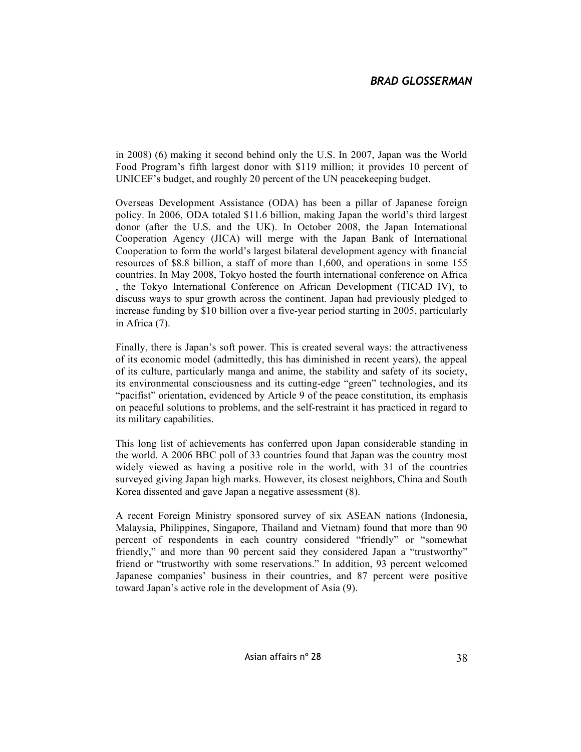in 2008) (6) making it second behind only the U.S. In 2007, Japan was the World Food Program's fifth largest donor with \$119 million; it provides 10 percent of UNICEF's budget, and roughly 20 percent of the UN peacekeeping budget.

Overseas Development Assistance (ODA) has been a pillar of Japanese foreign policy. In 2006, ODA totaled \$11.6 billion, making Japan the world's third largest donor (after the U.S. and the UK). In October 2008, the Japan International Cooperation Agency (JICA) will merge with the Japan Bank of International Cooperation to form the world's largest bilateral development agency with financial resources of \$8.8 billion, a staff of more than 1,600, and operations in some 155 countries. In May 2008, Tokyo hosted the fourth international conference on Africa , the Tokyo International Conference on African Development (TICAD IV), to discuss ways to spur growth across the continent. Japan had previously pledged to increase funding by \$10 billion over a five-year period starting in 2005, particularly in Africa (7).

Finally, there is Japan's soft power. This is created several ways: the attractiveness of its economic model (admittedly, this has diminished in recent years), the appeal of its culture, particularly manga and anime, the stability and safety of its society, its environmental consciousness and its cutting-edge "green" technologies, and its "pacifist" orientation, evidenced by Article 9 of the peace constitution, its emphasis on peaceful solutions to problems, and the self-restraint it has practiced in regard to its military capabilities.

This long list of achievements has conferred upon Japan considerable standing in the world. A 2006 BBC poll of 33 countries found that Japan was the country most widely viewed as having a positive role in the world, with 31 of the countries surveyed giving Japan high marks. However, its closest neighbors, China and South Korea dissented and gave Japan a negative assessment (8).

A recent Foreign Ministry sponsored survey of six ASEAN nations (Indonesia, Malaysia, Philippines, Singapore, Thailand and Vietnam) found that more than 90 percent of respondents in each country considered "friendly" or "somewhat friendly," and more than 90 percent said they considered Japan a "trustworthy" friend or "trustworthy with some reservations." In addition, 93 percent welcomed Japanese companies' business in their countries, and 87 percent were positive toward Japan's active role in the development of Asia (9).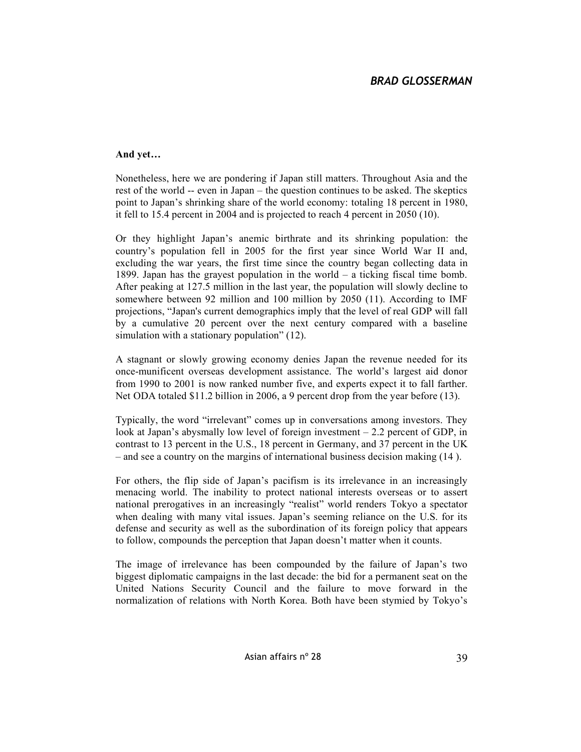### **And yet…**

Nonetheless, here we are pondering if Japan still matters. Throughout Asia and the rest of the world -- even in Japan – the question continues to be asked. The skeptics point to Japan's shrinking share of the world economy: totaling 18 percent in 1980, it fell to 15.4 percent in 2004 and is projected to reach 4 percent in 2050 (10).

Or they highlight Japan's anemic birthrate and its shrinking population: the country's population fell in 2005 for the first year since World War II and, excluding the war years, the first time since the country began collecting data in 1899. Japan has the grayest population in the world – a ticking fiscal time bomb. After peaking at 127.5 million in the last year, the population will slowly decline to somewhere between 92 million and 100 million by 2050 (11). According to IMF projections, "Japan's current demographics imply that the level of real GDP will fall by a cumulative 20 percent over the next century compared with a baseline simulation with a stationary population" (12).

A stagnant or slowly growing economy denies Japan the revenue needed for its once-munificent overseas development assistance. The world's largest aid donor from 1990 to 2001 is now ranked number five, and experts expect it to fall farther. Net ODA totaled \$11.2 billion in 2006, a 9 percent drop from the year before (13).

Typically, the word "irrelevant" comes up in conversations among investors. They look at Japan's abysmally low level of foreign investment – 2.2 percent of GDP, in contrast to 13 percent in the U.S., 18 percent in Germany, and 37 percent in the UK – and see a country on the margins of international business decision making (14 ).

For others, the flip side of Japan's pacifism is its irrelevance in an increasingly menacing world. The inability to protect national interests overseas or to assert national prerogatives in an increasingly "realist" world renders Tokyo a spectator when dealing with many vital issues. Japan's seeming reliance on the U.S. for its defense and security as well as the subordination of its foreign policy that appears to follow, compounds the perception that Japan doesn't matter when it counts.

The image of irrelevance has been compounded by the failure of Japan's two biggest diplomatic campaigns in the last decade: the bid for a permanent seat on the United Nations Security Council and the failure to move forward in the normalization of relations with North Korea. Both have been stymied by Tokyo's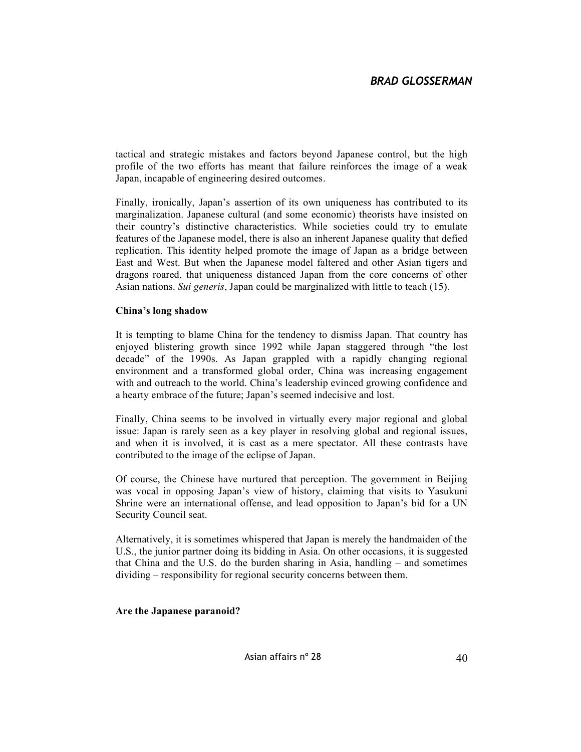tactical and strategic mistakes and factors beyond Japanese control, but the high profile of the two efforts has meant that failure reinforces the image of a weak Japan, incapable of engineering desired outcomes.

Finally, ironically, Japan's assertion of its own uniqueness has contributed to its marginalization. Japanese cultural (and some economic) theorists have insisted on their country's distinctive characteristics. While societies could try to emulate features of the Japanese model, there is also an inherent Japanese quality that defied replication. This identity helped promote the image of Japan as a bridge between East and West. But when the Japanese model faltered and other Asian tigers and dragons roared, that uniqueness distanced Japan from the core concerns of other Asian nations. *Sui generis*, Japan could be marginalized with little to teach (15).

### **China's long shadow**

It is tempting to blame China for the tendency to dismiss Japan. That country has enjoyed blistering growth since 1992 while Japan staggered through "the lost decade" of the 1990s. As Japan grappled with a rapidly changing regional environment and a transformed global order, China was increasing engagement with and outreach to the world. China's leadership evinced growing confidence and a hearty embrace of the future; Japan's seemed indecisive and lost.

Finally, China seems to be involved in virtually every major regional and global issue: Japan is rarely seen as a key player in resolving global and regional issues, and when it is involved, it is cast as a mere spectator. All these contrasts have contributed to the image of the eclipse of Japan.

Of course, the Chinese have nurtured that perception. The government in Beijing was vocal in opposing Japan's view of history, claiming that visits to Yasukuni Shrine were an international offense, and lead opposition to Japan's bid for a UN Security Council seat.

Alternatively, it is sometimes whispered that Japan is merely the handmaiden of the U.S., the junior partner doing its bidding in Asia. On other occasions, it is suggested that China and the U.S. do the burden sharing in Asia, handling – and sometimes dividing – responsibility for regional security concerns between them.

#### **Are the Japanese paranoid?**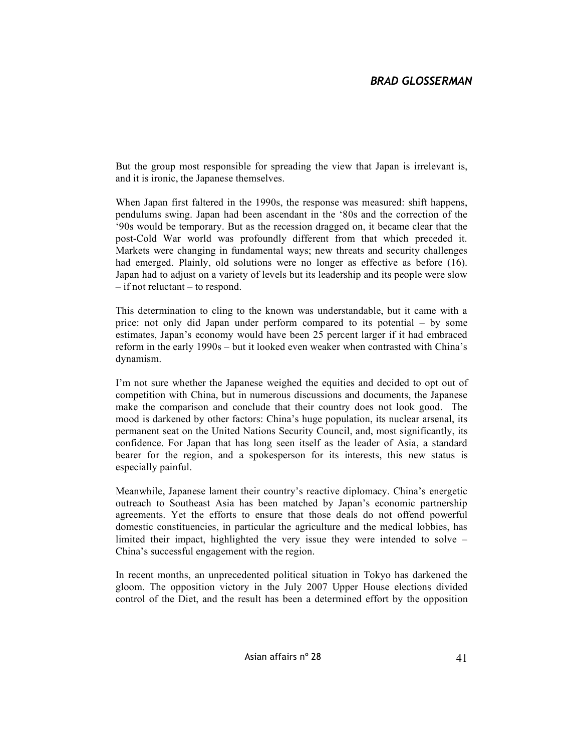But the group most responsible for spreading the view that Japan is irrelevant is, and it is ironic, the Japanese themselves.

When Japan first faltered in the 1990s, the response was measured: shift happens, pendulums swing. Japan had been ascendant in the '80s and the correction of the '90s would be temporary. But as the recession dragged on, it became clear that the post-Cold War world was profoundly different from that which preceded it. Markets were changing in fundamental ways; new threats and security challenges had emerged. Plainly, old solutions were no longer as effective as before (16). Japan had to adjust on a variety of levels but its leadership and its people were slow – if not reluctant – to respond.

This determination to cling to the known was understandable, but it came with a price: not only did Japan under perform compared to its potential – by some estimates, Japan's economy would have been 25 percent larger if it had embraced reform in the early 1990s – but it looked even weaker when contrasted with China's dynamism.

I'm not sure whether the Japanese weighed the equities and decided to opt out of competition with China, but in numerous discussions and documents, the Japanese make the comparison and conclude that their country does not look good. The mood is darkened by other factors: China's huge population, its nuclear arsenal, its permanent seat on the United Nations Security Council, and, most significantly, its confidence. For Japan that has long seen itself as the leader of Asia, a standard bearer for the region, and a spokesperson for its interests, this new status is especially painful.

Meanwhile, Japanese lament their country's reactive diplomacy. China's energetic outreach to Southeast Asia has been matched by Japan's economic partnership agreements. Yet the efforts to ensure that those deals do not offend powerful domestic constituencies, in particular the agriculture and the medical lobbies, has limited their impact, highlighted the very issue they were intended to solve – China's successful engagement with the region.

In recent months, an unprecedented political situation in Tokyo has darkened the gloom. The opposition victory in the July 2007 Upper House elections divided control of the Diet, and the result has been a determined effort by the opposition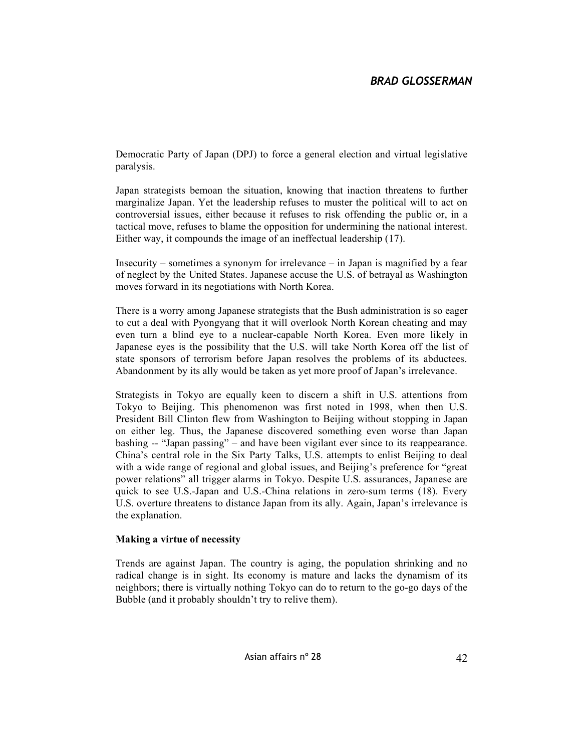Democratic Party of Japan (DPJ) to force a general election and virtual legislative paralysis.

Japan strategists bemoan the situation, knowing that inaction threatens to further marginalize Japan. Yet the leadership refuses to muster the political will to act on controversial issues, either because it refuses to risk offending the public or, in a tactical move, refuses to blame the opposition for undermining the national interest. Either way, it compounds the image of an ineffectual leadership (17).

Insecurity – sometimes a synonym for irrelevance – in Japan is magnified by a fear of neglect by the United States. Japanese accuse the U.S. of betrayal as Washington moves forward in its negotiations with North Korea.

There is a worry among Japanese strategists that the Bush administration is so eager to cut a deal with Pyongyang that it will overlook North Korean cheating and may even turn a blind eye to a nuclear-capable North Korea. Even more likely in Japanese eyes is the possibility that the U.S. will take North Korea off the list of state sponsors of terrorism before Japan resolves the problems of its abductees. Abandonment by its ally would be taken as yet more proof of Japan's irrelevance.

Strategists in Tokyo are equally keen to discern a shift in U.S. attentions from Tokyo to Beijing. This phenomenon was first noted in 1998, when then U.S. President Bill Clinton flew from Washington to Beijing without stopping in Japan on either leg. Thus, the Japanese discovered something even worse than Japan bashing -- "Japan passing" – and have been vigilant ever since to its reappearance. China's central role in the Six Party Talks, U.S. attempts to enlist Beijing to deal with a wide range of regional and global issues, and Beijing's preference for "great power relations" all trigger alarms in Tokyo. Despite U.S. assurances, Japanese are quick to see U.S.-Japan and U.S.-China relations in zero-sum terms (18). Every U.S. overture threatens to distance Japan from its ally. Again, Japan's irrelevance is the explanation.

#### **Making a virtue of necessity**

Trends are against Japan. The country is aging, the population shrinking and no radical change is in sight. Its economy is mature and lacks the dynamism of its neighbors; there is virtually nothing Tokyo can do to return to the go-go days of the Bubble (and it probably shouldn't try to relive them).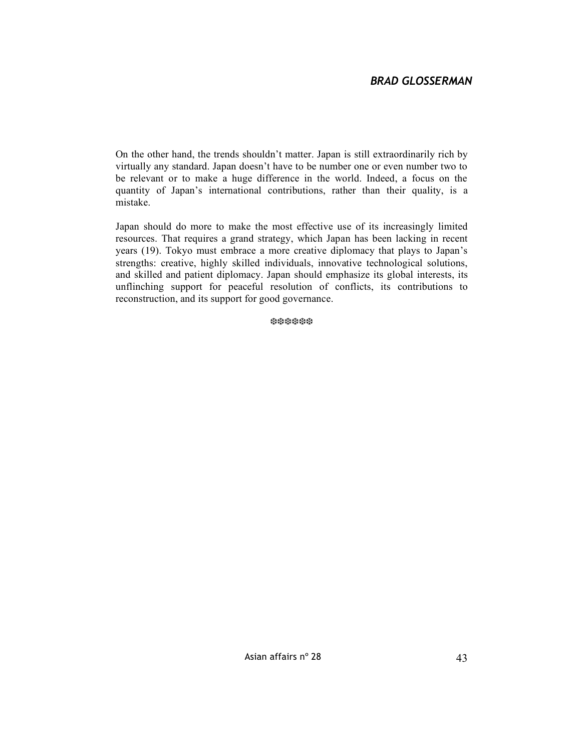On the other hand, the trends shouldn't matter. Japan is still extraordinarily rich by virtually any standard. Japan doesn't have to be number one or even number two to be relevant or to make a huge difference in the world. Indeed, a focus on the quantity of Japan's international contributions, rather than their quality, is a mistake.

Japan should do more to make the most effective use of its increasingly limited resources. That requires a grand strategy, which Japan has been lacking in recent years (19). Tokyo must embrace a more creative diplomacy that plays to Japan's strengths: creative, highly skilled individuals, innovative technological solutions, and skilled and patient diplomacy. Japan should emphasize its global interests, its unflinching support for peaceful resolution of conflicts, its contributions to reconstruction, and its support for good governance.

❆❆❆❆❆❆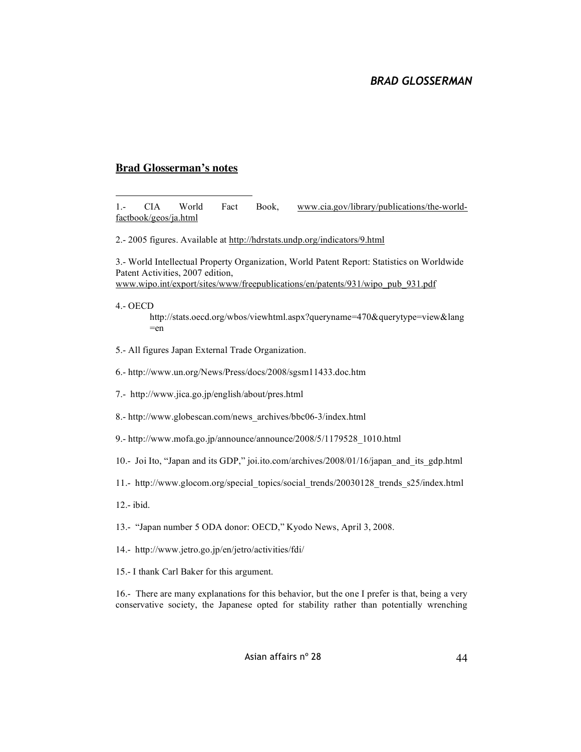#### **Brad Glosserman's notes**

.- CIA World Fact Book, www.cia.gov/library/publications/the-worldfactbook/geos/ja.html

.- 2005 figures. Available at http://hdrstats.undp.org/indicators/9.html

.- World Intellectual Property Organization, World Patent Report: Statistics on Worldwide Patent Activities, 2007 edition, www.wipo.int/export/sites/www/freepublications/en/patents/931/wipo\_pub\_931.pdf

.- OECD

 $\overline{a}$ 

http://stats.oecd.org/wbos/viewhtml.aspx?queryname=470&querytype=view&lang  $=$ en

.- All figures Japan External Trade Organization.

.- http://www.un.org/News/Press/docs/2008/sgsm11433.doc.htm

- .- http://www.jica.go.jp/english/about/pres.html
- .- http://www.globescan.com/news\_archives/bbc06-3/index.html
- .- http://www.mofa.go.jp/announce/announce/2008/5/1179528\_1010.html
- .- Joi Ito, "Japan and its GDP," joi.ito.com/archives/2008/01/16/japan\_and\_its\_gdp.html
- .- http://www.glocom.org/special\_topics/social\_trends/20030128\_trends\_s25/index.html
- .- ibid.
- .- "Japan number 5 ODA donor: OECD," Kyodo News, April 3, 2008.
- .- http://www.jetro.go.jp/en/jetro/activities/fdi/
- .- I thank Carl Baker for this argument.

.- There are many explanations for this behavior, but the one I prefer is that, being a very conservative society, the Japanese opted for stability rather than potentially wrenching